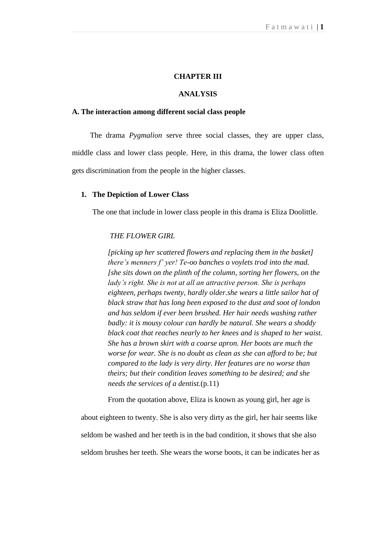# **CHAPTER III**

# **ANALYSIS**

#### **A. The interaction among different social class people**

The drama *Pygmalion* serve three social classes, they are upper class, middle class and lower class people. Here, in this drama, the lower class often gets discrimination from the people in the higher classes.

#### **1. The Depiction of Lower Class**

The one that include in lower class people in this drama is Eliza Doolittle.

#### *THE FLOWER GIRL*

*[picking up her scattered flowers and replacing them in the basket] there's menners f' yer! Te-oo banches o voylets trod into the mad. [she sits down on the plinth of the column, sorting her flowers, on the lady's right. She is not at all an attractive person. She is perhaps eighteen, perhaps twenty, hardly older.she wears a little sailor hat of black straw that has long been exposed to the dust and soot of london and has seldom if ever been brushed. Her hair needs washing rather badly: it is mousy colour can hardly be natural. She wears a shoddy black coat that reaches nearly to her knees and is shaped to her waist. She has a brown skirt with a coarse apron. Her boots are much the worse for wear. She is no doubt as clean as she can afford to be; but compared to the lady is very dirty. Her features are no worse than theirs; but their condition leaves something to be desired; and she needs the services of a dentist.*(p.11)

From the quotation above, Eliza is known as young girl, her age is

about eighteen to twenty. She is also very dirty as the girl, her hair seems like seldom be washed and her teeth is in the bad condition, it shows that she also seldom brushes her teeth. She wears the worse boots, it can be indicates her as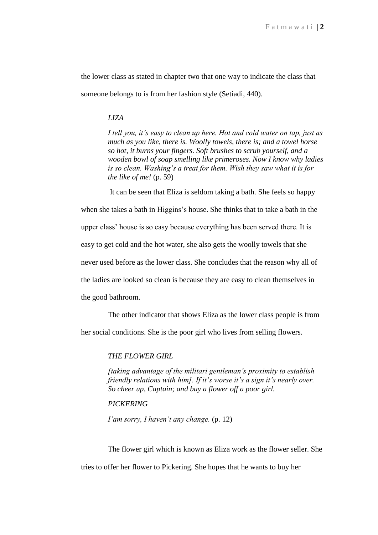the lower class as stated in chapter two that one way to indicate the class that someone belongs to is from her fashion style (Setiadi, 440).

#### *LIZA*

*I tell you, it's easy to clean up here. Hot and cold water on tap, just as much as you like, there is. Woolly towels, there is; and a towel horse so hot, it burns your fingers. Soft brushes to scrub yourself, and a wooden bowl of soap smelling like primeroses. Now I know why ladies is so clean. Washing's a treat for them. Wish they saw what it is for the like of me!* (p. 59)

 It can be seen that Eliza is seldom taking a bath. She feels so happy when she takes a bath in Higgins's house. She thinks that to take a bath in the upper class" house is so easy because everything has been served there. It is easy to get cold and the hot water, she also gets the woolly towels that she never used before as the lower class. She concludes that the reason why all of the ladies are looked so clean is because they are easy to clean themselves in

the good bathroom.

 The other indicator that shows Eliza as the lower class people is from her social conditions. She is the poor girl who lives from selling flowers.

#### *THE FLOWER GIRL*

*[taking advantage of the militari gentleman's proximity to establish friendly relations with him]. If it's worse it's a sign it's nearly over. So cheer up, Captain; and buy a flower off a poor girl.* 

#### *PICKERING*

*I'am sorry, I haven't any change.* (p. 12)

 The flower girl which is known as Eliza work as the flower seller. She tries to offer her flower to Pickering. She hopes that he wants to buy her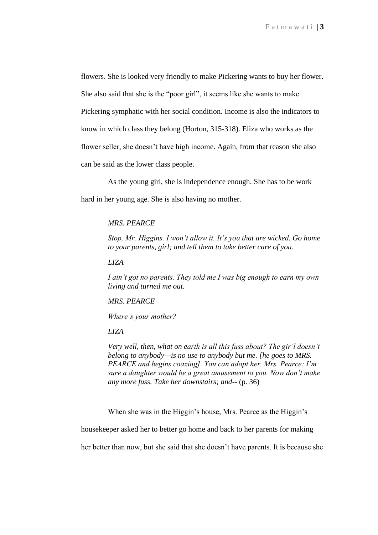flowers. She is looked very friendly to make Pickering wants to buy her flower. She also said that she is the "poor girl", it seems like she wants to make Pickering symphatic with her social condition. Income is also the indicators to know in which class they belong (Horton, 315-318). Eliza who works as the flower seller, she doesn"t have high income. Again, from that reason she also can be said as the lower class people.

 As the young girl, she is independence enough. She has to be work hard in her young age. She is also having no mother.

#### *MRS. PEARCE*

*Stop, Mr. Higgins. I won't allow it. It's you that are wicked. Go home to your parents, girl; and tell them to take better care of you.*

*LIZA*

*I ain't got no parents. They told me I was big enough to earn my own living and turned me out.*

*MRS. PEARCE*

*Where's your mother?*

*LIZA*

*Very well, then, what on earth is all this fuss about? The gir'l doesn't belong to anybody—is no use to anybody but me. [he goes to MRS. PEARCE and begins coaxing]. You can adopt her, Mrs. Pearce: I'm sure a daughter would be a great amusement to you. Now don't make any more fuss. Take her downstairs; and--* (p. 36)

When she was in the Higgin's house, Mrs. Pearce as the Higgin's

housekeeper asked her to better go home and back to her parents for making

her better than now, but she said that she doesn"t have parents. It is because she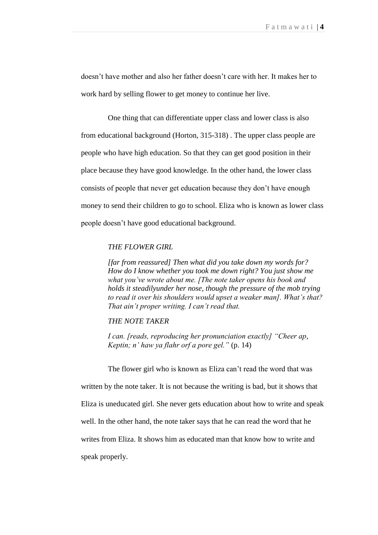doesn"t have mother and also her father doesn"t care with her. It makes her to work hard by selling flower to get money to continue her live.

One thing that can differentiate upper class and lower class is also from educational background (Horton, 315-318) . The upper class people are people who have high education. So that they can get good position in their place because they have good knowledge. In the other hand, the lower class consists of people that never get education because they don"t have enough money to send their children to go to school. Eliza who is known as lower class people doesn"t have good educational background.

# *THE FLOWER GIRL*

*[far from reassured] Then what did you take down my words for? How do I know whether you took me down right? You just show me what you've wrote about me. [The note taker opens his book and holds it steadilyunder her nose, though the pressure of the mob trying to read it over his shoulders would upset a weaker man]. What's that? That ain't proper writing. I can't read that.*

#### *THE NOTE TAKER*

*I can. [reads, reproducing her pronunciation exactly] "Cheer ap, Keptin; n' haw ya flahr orf a pore gel."* (p. 14)

 The flower girl who is known as Eliza can"t read the word that was written by the note taker. It is not because the writing is bad, but it shows that Eliza is uneducated girl. She never gets education about how to write and speak well. In the other hand, the note taker says that he can read the word that he writes from Eliza. It shows him as educated man that know how to write and speak properly.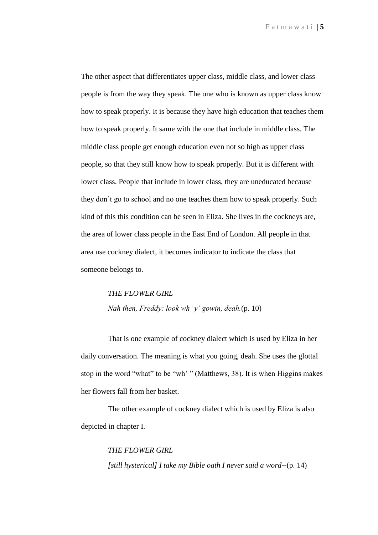The other aspect that differentiates upper class, middle class, and lower class people is from the way they speak. The one who is known as upper class know how to speak properly. It is because they have high education that teaches them how to speak properly. It same with the one that include in middle class. The middle class people get enough education even not so high as upper class people, so that they still know how to speak properly. But it is different with lower class. People that include in lower class, they are uneducated because they don"t go to school and no one teaches them how to speak properly. Such kind of this this condition can be seen in Eliza. She lives in the cockneys are, the area of lower class people in the East End of London. All people in that area use cockney dialect, it becomes indicator to indicate the class that someone belongs to.

# *THE FLOWER GIRL Nah then, Freddy: look wh' y' gowin, deah.*(p. 10)

 That is one example of cockney dialect which is used by Eliza in her daily conversation. The meaning is what you going, deah. She uses the glottal stop in the word "what" to be "wh" " (Matthews, 38). It is when Higgins makes her flowers fall from her basket.

 The other example of cockney dialect which is used by Eliza is also depicted in chapter I.

> *THE FLOWER GIRL [still hysterical] I take my Bible oath I never said a word--*(p. 14)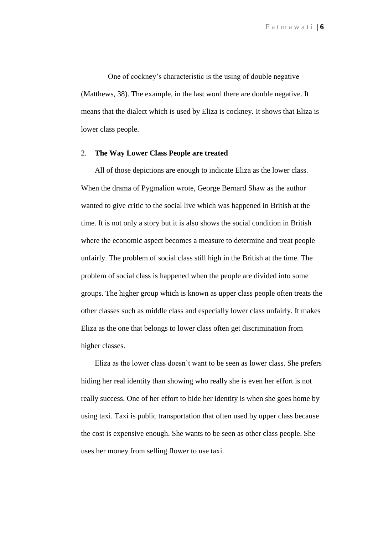One of cockney"s characteristic is the using of double negative (Matthews, 38). The example, in the last word there are double negative. It means that the dialect which is used by Eliza is cockney. It shows that Eliza is lower class people.

#### 2. **The Way Lower Class People are treated**

 All of those depictions are enough to indicate Eliza as the lower class. When the drama of Pygmalion wrote, George Bernard Shaw as the author wanted to give critic to the social live which was happened in British at the time. It is not only a story but it is also shows the social condition in British where the economic aspect becomes a measure to determine and treat people unfairly. The problem of social class still high in the British at the time. The problem of social class is happened when the people are divided into some groups. The higher group which is known as upper class people often treats the other classes such as middle class and especially lower class unfairly. It makes Eliza as the one that belongs to lower class often get discrimination from higher classes.

 Eliza as the lower class doesn"t want to be seen as lower class. She prefers hiding her real identity than showing who really she is even her effort is not really success. One of her effort to hide her identity is when she goes home by using taxi. Taxi is public transportation that often used by upper class because the cost is expensive enough. She wants to be seen as other class people. She uses her money from selling flower to use taxi.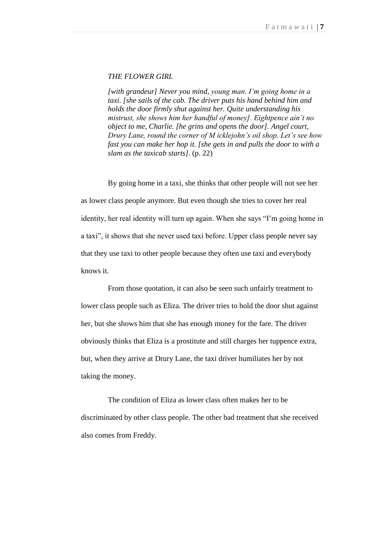#### *THE FLOWER GIRL*

*[with grandeur] Never you mind, young man. I'm going home in a taxi. [she sails of the cab. The driver puts his hand behind him and holds the door firmly shut against her. Quite understanding his mistrust, she shows him her handful of money]. Eightpence ain't no object to me, Charlie. [he grins and opens the door]. Angel court, Drury Lane, round the corner of M icklejohn's oil shop. Let's see how fast you can make her hop it. [she gets in and pulls the door to with a slam as the taxicab starts].* (p. 22)

 By going home in a taxi, she thinks that other people will not see her as lower class people anymore. But even though she tries to cover her real identity, her real identity will turn up again. When she says "I"m going home in a taxi", it shows that she never used taxi before. Upper class people never say that they use taxi to other people because they often use taxi and everybody knows it.

 From those quotation, it can also be seen such unfairly treatment to lower class people such as Eliza. The driver tries to hold the door shut against her, but she shows him that she has enough money for the fare. The driver obviously thinks that Eliza is a prostitute and still charges her tuppence extra, but, when they arrive at Drury Lane, the taxi driver humiliates her by not taking the money.

 The condition of Eliza as lower class often makes her to be discriminated by other class people. The other bad treatment that she received also comes from Freddy.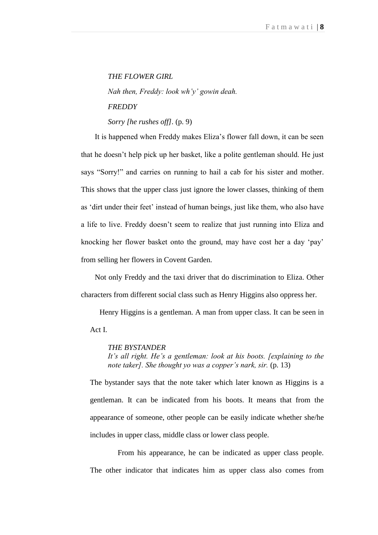#### *THE FLOWER GIRL*

*Nah then, Freddy: look wh'y' gowin deah. FREDDY*

*Sorry [he rushes off].* (p. 9)

 It is happened when Freddy makes Eliza"s flower fall down, it can be seen that he doesn"t help pick up her basket, like a polite gentleman should. He just says "Sorry!" and carries on running to hail a cab for his sister and mother. This shows that the upper class just ignore the lower classes, thinking of them as "dirt under their feet" instead of human beings, just like them, who also have a life to live. Freddy doesn"t seem to realize that just running into Eliza and knocking her flower basket onto the ground, may have cost her a day "pay" from selling her flowers in Covent Garden.

 Not only Freddy and the taxi driver that do discrimination to Eliza. Other characters from different social class such as Henry Higgins also oppress her.

 Henry Higgins is a gentleman. A man from upper class. It can be seen in Act I.

# *THE BYSTANDER*

*It's all right. He's a gentleman: look at his boots. [explaining to the note taker]. She thought yo was a copper's nark, sir.* (p. 13)

The bystander says that the note taker which later known as Higgins is a gentleman. It can be indicated from his boots. It means that from the appearance of someone, other people can be easily indicate whether she/he includes in upper class, middle class or lower class people.

 From his appearance, he can be indicated as upper class people. The other indicator that indicates him as upper class also comes from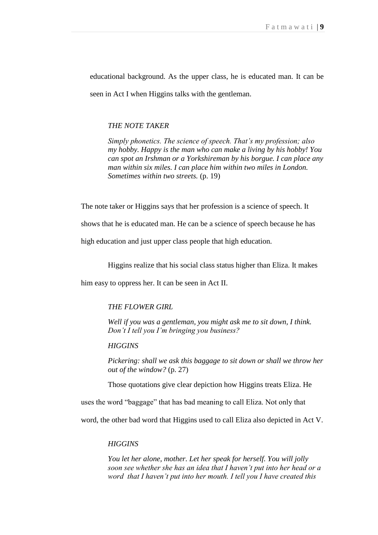educational background. As the upper class, he is educated man. It can be seen in Act I when Higgins talks with the gentleman.

#### *THE NOTE TAKER*

*Simply phonetics. The science of speech. That's my profession; also my hobby. Happy is the man who can make a living by his hobby! You can spot an Irshman or a Yorkshireman by his borgue. I can place any man within six miles. I can place him within two miles in London. Sometimes within two streets.* (p. 19)

The note taker or Higgins says that her profession is a science of speech. It

shows that he is educated man. He can be a science of speech because he has

high education and just upper class people that high education.

Higgins realize that his social class status higher than Eliza. It makes

him easy to oppress her. It can be seen in Act II.

#### *THE FLOWER GIRL*

*Well if you was a gentleman, you might ask me to sit down, I think. Don't I tell you I'm bringing you business?*

*HIGGINS*

*Pickering: shall we ask this baggage to sit down or shall we throw her out of the window?* (p. 27)

Those quotations give clear depiction how Higgins treats Eliza. He

uses the word "baggage" that has bad meaning to call Eliza. Not only that

word, the other bad word that Higgins used to call Eliza also depicted in Act V.

#### *HIGGINS*

*You let her alone, mother. Let her speak for herself. You will jolly soon see whether she has an idea that I haven't put into her head or a word that I haven't put into her mouth. I tell you I have created this*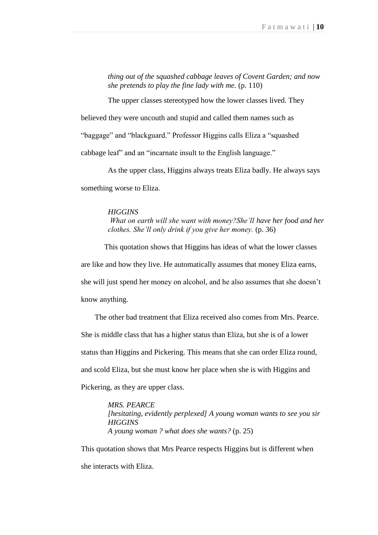*thing out of the squashed cabbage leaves of Covent Garden; and now she pretends to play the fine lady with me.* (p. 110)

The upper classes stereotyped how the lower classes lived. They believed they were uncouth and stupid and called them names such as "baggage" and "blackguard." Professor Higgins calls Eliza a "squashed cabbage leaf" and an "incarnate insult to the English language."

 As the upper class, Higgins always treats Eliza badly. He always says something worse to Eliza.

#### *HIGGINS*

*What on earth will she want with money?She'll have her food and her clothes. She'll only drink if you give her money.* (p. 36)

 This quotation shows that Higgins has ideas of what the lower classes are like and how they live. He automatically assumes that money Eliza earns, she will just spend her money on alcohol, and he also assumes that she doesn"t know anything.

 The other bad treatment that Eliza received also comes from Mrs. Pearce. She is middle class that has a higher status than Eliza, but she is of a lower status than Higgins and Pickering. This means that she can order Eliza round, and scold Eliza, but she must know her place when she is with Higgins and Pickering, as they are upper class.

> *MRS. PEARCE [hesitating, evidently perplexed] A young woman wants to see you sir HIGGINS A young woman ? what does she wants?* (p. 25)

This quotation shows that Mrs Pearce respects Higgins but is different when she interacts with Eliza.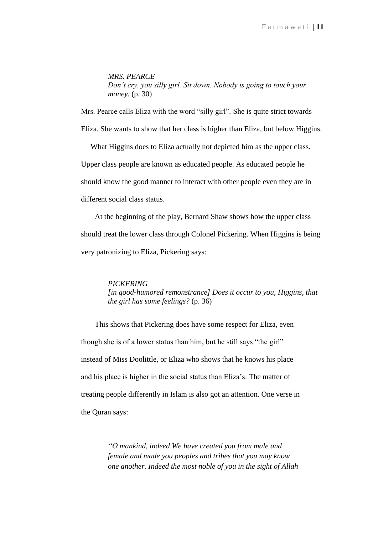*MRS. PEARCE Don't cry, you silly girl. Sit down. Nobody is going to touch your money.* (p. 30)

Mrs. Pearce calls Eliza with the word "silly girl". She is quite strict towards

Eliza. She wants to show that her class is higher than Eliza, but below Higgins.

 What Higgins does to Eliza actually not depicted him as the upper class. Upper class people are known as educated people. As educated people he should know the good manner to interact with other people even they are in different social class status.

 At the beginning of the play, Bernard Shaw shows how the upper class should treat the lower class through Colonel Pickering. When Higgins is being very patronizing to Eliza, Pickering says:

#### *PICKERING*

*[in good-humored remonstrance] Does it occur to you, Higgins, that the girl has some feelings?* (p. 36)

 This shows that Pickering does have some respect for Eliza, even though she is of a lower status than him, but he still says "the girl" instead of Miss Doolittle, or Eliza who shows that he knows his place and his place is higher in the social status than Eliza"s. The matter of treating people differently in Islam is also got an attention. One verse in the Quran says:

> *"O mankind, indeed We have created you from male and female and made you peoples and tribes that you may know one another. Indeed the most noble of you in the sight of Allah*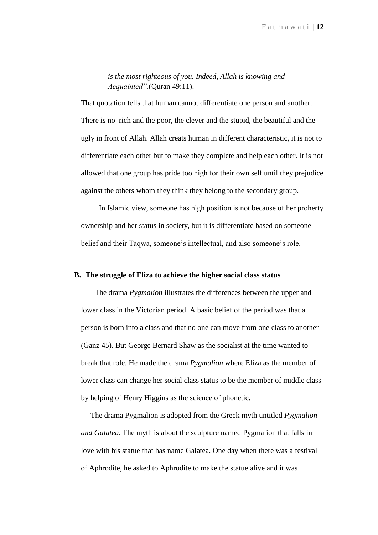*is the most righteous of you. Indeed, Allah is knowing and Acquainted".*(Quran 49:11).

That quotation tells that human cannot differentiate one person and another. There is no rich and the poor, the clever and the stupid, the beautiful and the ugly in front of Allah. Allah creats human in different characteristic, it is not to differentiate each other but to make they complete and help each other. It is not allowed that one group has pride too high for their own self until they prejudice against the others whom they think they belong to the secondary group.

In Islamic view, someone has high position is not because of her proherty ownership and her status in society, but it is differentiate based on someone belief and their Taqwa, someone's intellectual, and also someone's role.

#### **B. The struggle of Eliza to achieve the higher social class status**

 The drama *Pygmalion* illustrates the differences between the upper and lower class in the Victorian period. A basic belief of the period was that a person is born into a class and that no one can move from one class to another (Ganz 45). But George Bernard Shaw as the socialist at the time wanted to break that role. He made the drama *Pygmalion* where Eliza as the member of lower class can change her social class status to be the member of middle class by helping of Henry Higgins as the science of phonetic.

 The drama Pygmalion is adopted from the Greek myth untitled *Pygmalion and Galatea*. The myth is about the sculpture named Pygmalion that falls in love with his statue that has name Galatea. One day when there was a festival of Aphrodite, he asked to Aphrodite to make the statue alive and it was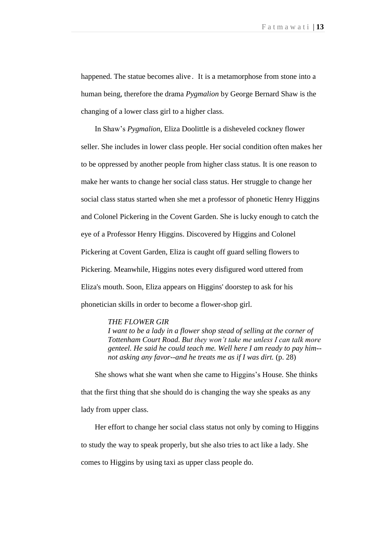happened. The statue becomes alive . It is a metamorphose from stone into a human being, therefore the drama *Pygmalion* by George Bernard Shaw is the changing of a lower class girl to a higher class.

In Shaw"s *Pygmalion*, Eliza Doolittle is a disheveled cockney flower seller. She includes in lower class people. Her social condition often makes her to be oppressed by another people from higher class status. It is one reason to make her wants to change her social class status. Her struggle to change her social class status started when she met a professor of phonetic Henry Higgins and Colonel Pickering in the Covent Garden. She is lucky enough to catch the eye of a Professor Henry Higgins. Discovered by Higgins and Colonel Pickering at Covent Garden, Eliza is caught off guard selling flowers to Pickering. Meanwhile, Higgins notes every disfigured word uttered from Eliza's mouth. Soon, Eliza appears on Higgins' doorstep to ask for his phonetician skills in order to become a flower-shop girl.

#### *THE FLOWER GIR*

*I want to be a lady in a flower shop stead of selling at the corner of Tottenham Court Road. But they won't take me unless I can talk more genteel. He said he could teach me. Well here I am ready to pay him- not asking any favor--and he treats me as if I was dirt.* (p. 28)

 She shows what she want when she came to Higgins"s House. She thinks that the first thing that she should do is changing the way she speaks as any lady from upper class.

 Her effort to change her social class status not only by coming to Higgins to study the way to speak properly, but she also tries to act like a lady. She comes to Higgins by using taxi as upper class people do.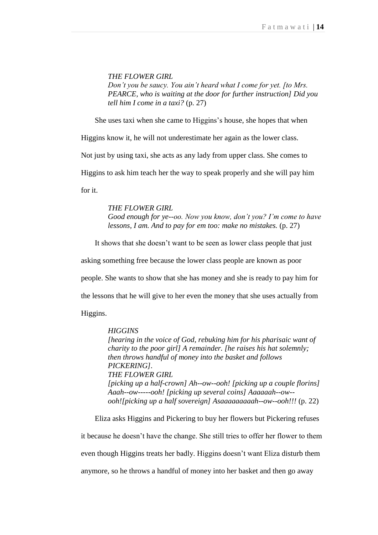*THE FLOWER GIRL Don't you be saucy. You ain't heard what I come for yet. [to Mrs. PEARCE, who is waiting at the door for further instruction] Did you tell him I come in a taxi?* (p. 27)

She uses taxi when she came to Higgins"s house, she hopes that when

Higgins know it, he will not underestimate her again as the lower class.

Not just by using taxi, she acts as any lady from upper class. She comes to

Higgins to ask him teach her the way to speak properly and she will pay him

for it.

*THE FLOWER GIRL Good enough for ye--oo. Now you know, don't you? I'm come to have lessons, I am. And to pay for em too: make no mistakes.* (p. 27)

It shows that she doesn"t want to be seen as lower class people that just

asking something free because the lower class people are known as poor

people. She wants to show that she has money and she is ready to pay him for

the lessons that he will give to her even the money that she uses actually from

Higgins.

#### *HIGGINS*

*[hearing in the voice of God, rebuking him for his pharisaic want of charity to the poor girl] A remainder. [he raises his hat solemnly; then throws handful of money into the basket and follows PICKERING]. THE FLOWER GIRL [picking up a half-crown] Ah--ow--ooh! [picking up a couple florins] Aaah--ow-----ooh! [picking up several coins] Aaaaaah--ow- ooh![picking up a half sovereign] Asaaaaaaaaah--ow--ooh!!!* (p. 22)

 Eliza asks Higgins and Pickering to buy her flowers but Pickering refuses it because he doesn"t have the change. She still tries to offer her flower to them even though Higgins treats her badly. Higgins doesn"t want Eliza disturb them anymore, so he throws a handful of money into her basket and then go away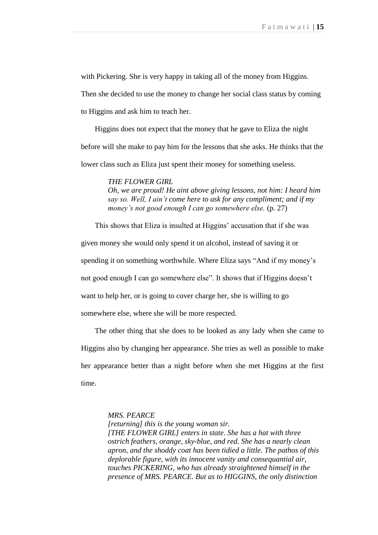with Pickering. She is very happy in taking all of the money from Higgins.

Then she decided to use the money to change her social class status by coming

to Higgins and ask him to teach her.

 Higgins does not expect that the money that he gave to Eliza the night before will she make to pay him for the lessons that she asks. He thinks that the lower class such as Eliza just spent their money for something useless.

*THE FLOWER GIRL*

*Oh, we are proud! He aint above giving lessons, not him: I heard him say so. Well, I ain't come here to ask for any compliment; and if my money's not good enough I can go somewhere else.* (p. 27)

This shows that Eliza is insulted at Higgins' accusation that if she was given money she would only spend it on alcohol, instead of saving it or spending it on something worthwhile. Where Eliza says "And if my money's not good enough I can go somewhere else". It shows that if Higgins doesn"t want to help her, or is going to cover charge her, she is willing to go somewhere else, where she will be more respected.

 The other thing that she does to be looked as any lady when she came to Higgins also by changing her appearance. She tries as well as possible to make her appearance better than a night before when she met Higgins at the first time.

*MRS. PEARCE*

*[returning] this is the young woman sir. [THE FLOWER GIRL] enters in state. She has a hat with three ostrich feathers, orange, sky-blue, and red. She has a nearly clean apron, and the shoddy coat has been tidied a little. The pathos of this deplorable figure, with its innocent vanity and consequantial air, touches PICKERING, who has already straightened himself in the presence of MRS. PEARCE. But as to HIGGINS, the only distinction*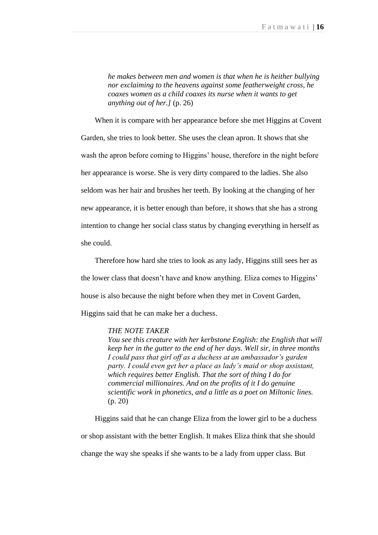*he makes between men and women is that when he is heither bullying nor exclaiming to the heavens against some featherweight cross, he coaxes women as a child coaxes its nurse when it wants to get anything out of her.]* (p. 26)

 When it is compare with her appearance before she met Higgins at Covent Garden, she tries to look better. She uses the clean apron. It shows that she wash the apron before coming to Higgins' house, therefore in the night before her appearance is worse. She is very dirty compared to the ladies. She also seldom was her hair and brushes her teeth. By looking at the changing of her new appearance, it is better enough than before, it shows that she has a strong intention to change her social class status by changing everything in herself as she could.

 Therefore how hard she tries to look as any lady, Higgins still sees her as the lower class that doesn"t have and know anything. Eliza comes to Higgins" house is also because the night before when they met in Covent Garden, Higgins said that he can make her a duchess.

#### *THE NOTE TAKER*

*You see this creature with her kerbstone English: the English that will keep her in the gutter to the end of her days. Well sir, in three months I could pass that girl off as a duchess at an ambassador's garden party. I could even get her a place as lady's maid or shop assistant, which requires better English. That the sort of thing I do for commercial millionaires. And on the profits of it I do genuine scientific work in phonetics, and a little as a poet on Miltonic lines.* (p. 20)

Higgins said that he can change Eliza from the lower girl to be a duchess or shop assistant with the better English. It makes Eliza think that she should change the way she speaks if she wants to be a lady from upper class. But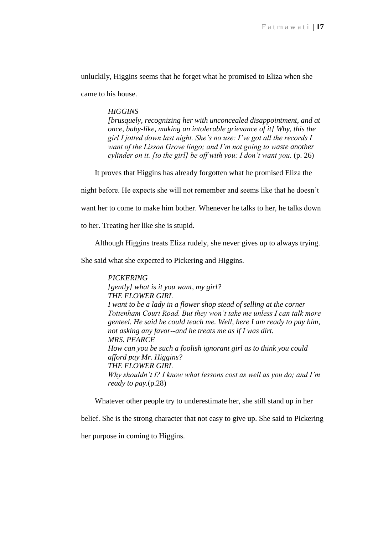unluckily, Higgins seems that he forget what he promised to Eliza when she

came to his house.

# *HIGGINS*

*[brusquely, recognizing her with unconcealed disappointment, and at once, baby-like, making an intolerable grievance of it] Why, this the girl I jotted down last night. She's no use: I've got all the records I want of the Lisson Grove lingo; and I'm not going to waste another cylinder on it. [to the girl] be off with you: I don't want you.* (p. 26)

It proves that Higgins has already forgotten what he promised Eliza the

night before. He expects she will not remember and seems like that he doesn"t

want her to come to make him bother. Whenever he talks to her, he talks down

to her. Treating her like she is stupid.

Although Higgins treats Eliza rudely, she never gives up to always trying.

She said what she expected to Pickering and Higgins.

*PICKERING [gently] what is it you want, my girl? THE FLOWER GIRL I want to be a lady in a flower shop stead of selling at the corner Tottenham Court Road. But they won't take me unless I can talk more genteel. He said he could teach me. Well, here I am ready to pay him, not asking any favor--and he treats me as if I was dirt. MRS. PEARCE How can you be such a foolish ignorant girl as to think you could afford pay Mr. Higgins? THE FLOWER GIRL Why shouldn't I? I know what lessons cost as well as you do; and I'm ready to pay.*(p.28)

Whatever other people try to underestimate her, she still stand up in her

belief. She is the strong character that not easy to give up. She said to Pickering

her purpose in coming to Higgins.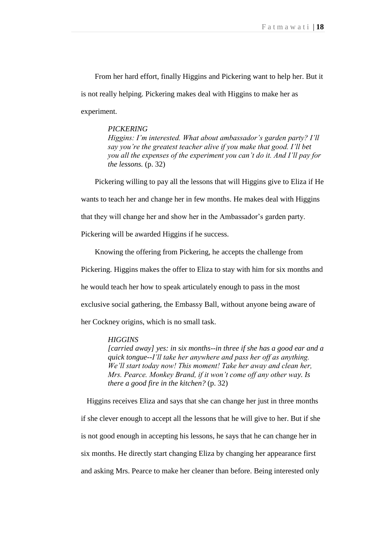From her hard effort, finally Higgins and Pickering want to help her. But it is not really helping. Pickering makes deal with Higgins to make her as experiment.

# *PICKERING*

*Higgins: I'm interested. What about ambassador's garden party? I'll say you're the greatest teacher alive if you make that good. I'll bet you all the expenses of the experiment you can't do it. And I'll pay for the lessons.* (p. 32)

Pickering willing to pay all the lessons that will Higgins give to Eliza if He wants to teach her and change her in few months. He makes deal with Higgins that they will change her and show her in the Ambassador"s garden party.

Pickering will be awarded Higgins if he success.

Knowing the offering from Pickering, he accepts the challenge from Pickering. Higgins makes the offer to Eliza to stay with him for six months and he would teach her how to speak articulately enough to pass in the most exclusive social gathering, the Embassy Ball, without anyone being aware of her Cockney origins, which is no small task.

#### *HIGGINS*

*[carried away] yes: in six months--in three if she has a good ear and a quick tongue--I'll take her anywhere and pass her off as anything. We'll start today now! This moment! Take her away and clean her, Mrs. Pearce. Monkey Brand, if it won't come off any other way. Is there a good fire in the kitchen?* (p. 32)

 Higgins receives Eliza and says that she can change her just in three months if she clever enough to accept all the lessons that he will give to her. But if she is not good enough in accepting his lessons, he says that he can change her in six months. He directly start changing Eliza by changing her appearance first and asking Mrs. Pearce to make her cleaner than before. Being interested only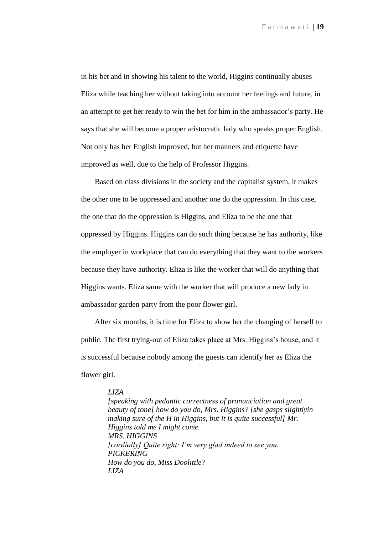in his bet and in showing his talent to the world, Higgins continually abuses Eliza while teaching her without taking into account her feelings and future, in an attempt to get her ready to win the bet for him in the ambassador"s party. He says that she will become a proper aristocratic lady who speaks proper English. Not only has her English improved, but her manners and etiquette have improved as well, due to the help of Professor Higgins.

 Based on class divisions in the society and the capitalist system, it makes the other one to be oppressed and another one do the oppression. In this case, the one that do the oppression is Higgins, and Eliza to be the one that oppressed by Higgins. Higgins can do such thing because he has authority, like the employer in workplace that can do everything that they want to the workers because they have authority. Eliza is like the worker that will do anything that Higgins wants. Eliza same with the worker that will produce a new lady in ambassador garden party from the poor flower girl.

 After six months, it is time for Eliza to show her the changing of herself to public. The first trying-out of Eliza takes place at Mrs. Higgins"s house, and it is successful because nobody among the guests can identify her as Eliza the flower girl.

#### *LIZA*

*[speaking with pedantic correctness of pronunciation and great beauty of tone] how do you do, Mrs. Higgins? [she gasps slightlyin making sure of the H in Higgins, but it is quite successful] Mr. Higgins told me I might come. MRS. HIGGINS [cordially] Quite right: I'm very glad indeed to see you. PICKERING How do you do, Miss Doolittle? LIZA*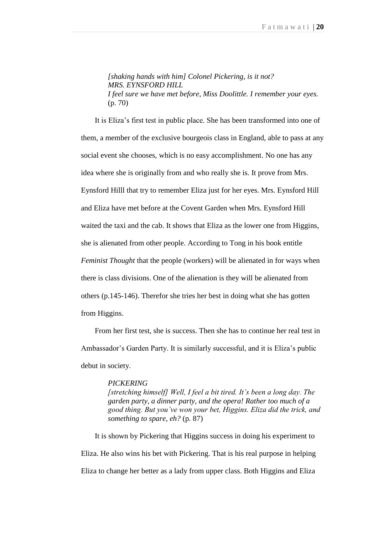*[shaking hands with him] Colonel Pickering, is it not? MRS. EYNSFORD HILL I feel sure we have met before, Miss Doolittle. I remember your eyes.* (p. 70)

It is Eliza"s first test in public place. She has been transformed into one of them, a member of the exclusive bourgeois class in England, able to pass at any social event she chooses, which is no easy accomplishment. No one has any idea where she is originally from and who really she is. It prove from Mrs. Eynsford Hilll that try to remember Eliza just for her eyes. Mrs. Eynsford Hill and Eliza have met before at the Covent Garden when Mrs. Eynsford Hill waited the taxi and the cab. It shows that Eliza as the lower one from Higgins, she is alienated from other people. According to Tong in his book entitle *Feminist Thought* that the people (workers) will be alienated in for ways when there is class divisions. One of the alienation is they will be alienated from others (p.145-146). Therefor she tries her best in doing what she has gotten from Higgins.

 From her first test, she is success. Then she has to continue her real test in Ambassador"s Garden Party. It is similarly successful, and it is Eliza"s public debut in society.

#### *PICKERING*

*[stretching himself] Well, I feel a bit tired. It's been a long day. The garden party, a dinner party, and the opera! Rather too much of a good thing. But you've won your bet, Higgins. Eliza did the trick, and something to spare, eh?* (p. 87)

 It is shown by Pickering that Higgins success in doing his experiment to Eliza. He also wins his bet with Pickering. That is his real purpose in helping Eliza to change her better as a lady from upper class. Both Higgins and Eliza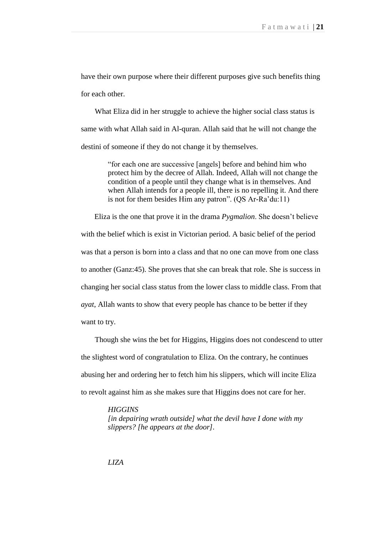have their own purpose where their different purposes give such benefits thing for each other.

What Eliza did in her struggle to achieve the higher social class status is same with what Allah said in Al-quran. Allah said that he will not change the destini of someone if they do not change it by themselves.

> "for each one are successive [angels] before and behind him who protect him by the decree of Allah. Indeed, Allah will not change the condition of a people until they change what is in themselves. And when Allah intends for a people ill, there is no repelling it. And there is not for them besides Him any patron". (QS Ar-Ra"du:11)

Eliza is the one that prove it in the drama *Pygmalion*. She doesn"t believe with the belief which is exist in Victorian period. A basic belief of the period was that a person is born into a class and that no one can move from one class to another (Ganz:45). She proves that she can break that role. She is success in changing her social class status from the lower class to middle class. From that *ayat*, Allah wants to show that every people has chance to be better if they want to try.

 Though she wins the bet for Higgins, Higgins does not condescend to utter the slightest word of congratulation to Eliza. On the contrary, he continues abusing her and ordering her to fetch him his slippers, which will incite Eliza to revolt against him as she makes sure that Higgins does not care for her.

*HIGGINS*

*[in depairing wrath outside] what the devil have I done with my slippers? [he appears at the door].*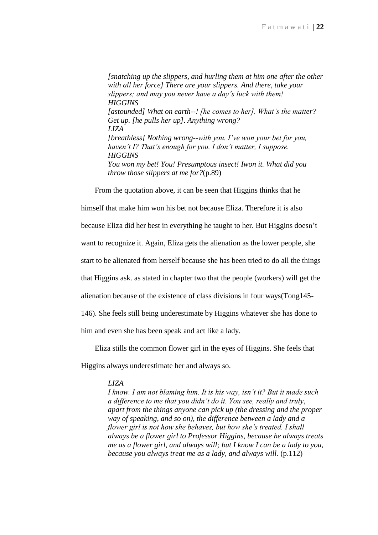*[snatching up the slippers, and hurling them at him one after the other with all her force] There are your slippers. And there, take your slippers; and may you never have a day's luck with them! HIGGINS [astounded] What on earth--! [he comes to her]. What's the matter? Get up. [he pulls her up]. Anything wrong? LIZA [breathless] Nothing wrong--with you. I've won your bet for you, haven't I? That's enough for you. I don't matter, I suppose. HIGGINS You won my bet! You! Presumptous insect! Iwon it. What did you throw those slippers at me for?*(p.89)

From the quotation above, it can be seen that Higgins thinks that he

himself that make him won his bet not because Eliza. Therefore it is also because Eliza did her best in everything he taught to her. But Higgins doesn"t want to recognize it. Again, Eliza gets the alienation as the lower people, she start to be alienated from herself because she has been tried to do all the things that Higgins ask. as stated in chapter two that the people (workers) will get the alienation because of the existence of class divisions in four ways(Tong145- 146). She feels still being underestimate by Higgins whatever she has done to him and even she has been speak and act like a lady.

Eliza stills the common flower girl in the eyes of Higgins. She feels that

Higgins always underestimate her and always so.

#### *LIZA*

*I know. I am not blaming him. It is his way, isn't it? But it made such a difference to me that you didn't do it. You see, really and truly, apart from the things anyone can pick up (the dressing and the proper way of speaking, and so on), the difference between a lady and a flower girl is not how she behaves, but how she's treated. I shall always be a flower girl to Professor Higgins, because he always treats me as a flower girl, and always will; but I know I can be a lady to you, because you always treat me as a lady, and always will.* (p.112)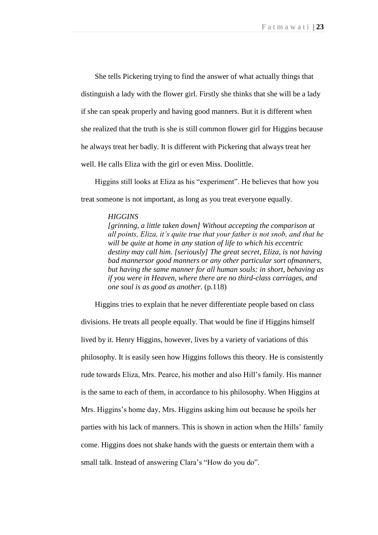She tells Pickering trying to find the answer of what actually things that distinguish a lady with the flower girl. Firstly she thinks that she will be a lady if she can speak properly and having good manners. But it is different when she realized that the truth is she is still common flower girl for Higgins because he always treat her badly. It is different with Pickering that always treat her well. He calls Eliza with the girl or even Miss. Doolittle.

 Higgins still looks at Eliza as his "experiment". He believes that how you treat someone is not important, as long as you treat everyone equally.

#### *HIGGINS*

*[grinning, a little taken down] Without accepting the comparison at all points, Eliza, it's quite true that your father is not snob, and that he will be quite at home in any station of life to which his eccentric destiny may call him. [seriously] The great secret, Eliza, is not having bad mannersor good manners or any other particular sort ofmanners, but having the same manner for all human souls: in short, behaving as if you were in Heaven, where there are no third-class carriages, and one soul is as good as another.* (p.118)

 Higgins tries to explain that he never differentiate people based on class divisions. He treats all people equally. That would be fine if Higgins himself lived by it. Henry Higgins, however, lives by a variety of variations of this philosophy. It is easily seen how Higgins follows this theory. He is consistently rude towards Eliza, Mrs. Pearce, his mother and also Hill"s family. His manner is the same to each of them, in accordance to his philosophy. When Higgins at Mrs. Higgins's home day, Mrs. Higgins asking him out because he spoils her parties with his lack of manners. This is shown in action when the Hills" family come. Higgins does not shake hands with the guests or entertain them with a small talk. Instead of answering Clara's "How do you do".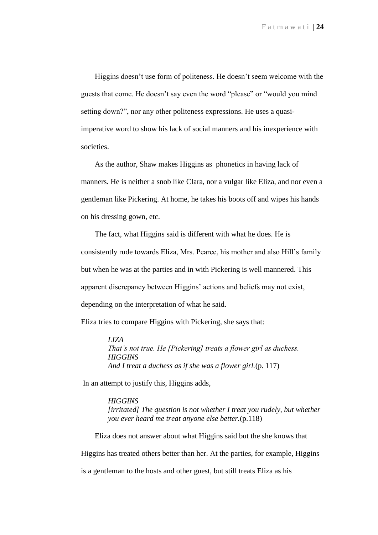Higgins doesn't use form of politeness. He doesn't seem welcome with the guests that come. He doesn"t say even the word "please" or "would you mind setting down?", nor any other politeness expressions. He uses a quasiimperative word to show his lack of social manners and his inexperience with societies.

 As the author, Shaw makes Higgins as phonetics in having lack of manners. He is neither a snob like Clara, nor a vulgar like Eliza, and nor even a gentleman like Pickering. At home, he takes his boots off and wipes his hands on his dressing gown, etc.

 The fact, what Higgins said is different with what he does. He is consistently rude towards Eliza, Mrs. Pearce, his mother and also Hill"s family but when he was at the parties and in with Pickering is well mannered. This apparent discrepancy between Higgins" actions and beliefs may not exist, depending on the interpretation of what he said.

Eliza tries to compare Higgins with Pickering, she says that:

*LIZA That's not true. He [Pickering] treats a flower girl as duchess. HIGGINS And I treat a duchess as if she was a flower girl.*(p. 117)

In an attempt to justify this, Higgins adds,

*HIGGINS [irritated] The question is not whether I treat you rudely, but whether you ever heard me treat anyone else better.*(p.118)

 Eliza does not answer about what Higgins said but the she knows that Higgins has treated others better than her. At the parties, for example, Higgins

is a gentleman to the hosts and other guest, but still treats Eliza as his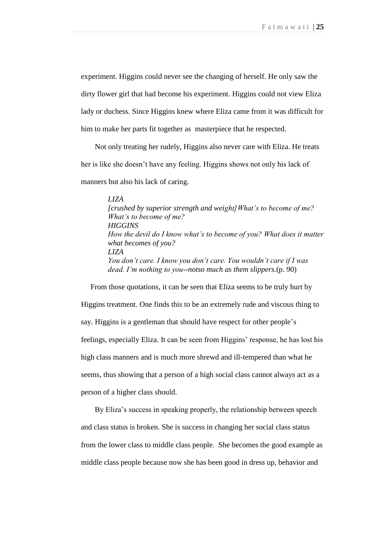experiment. Higgins could never see the changing of herself. He only saw the dirty flower girl that had become his experiment. Higgins could not view Eliza lady or duchess. Since Higgins knew where Eliza came from it was difficult for him to make her parts fit together as masterpiece that he respected.

 Not only treating her rudely, Higgins also never care with Eliza. He treats her is like she doesn"t have any feeling. Higgins shows not only his lack of manners but also his lack of caring.

> *LIZA [crushed by superior strength and weight]What's to become of me? What's to become of me? HIGGINS How the devil do I know what's to become of you? What does it matter what becomes of you? LIZA You don't care. I know you don't care. You wouldn't care if I was dead. I'm nothing to you--notso much as them slippers.*(p. 90)

 From those quotations, it can be seen that Eliza seems to be truly hurt by Higgins treatment. One finds this to be an extremely rude and viscous thing to say. Higgins is a gentleman that should have respect for other people"s feelings, especially Eliza. It can be seen from Higgins" response, he has lost his high class manners and is much more shrewd and ill-tempered than what he seems, thus showing that a person of a high social class cannot always act as a person of a higher class should.

By Eliza's success in speaking properly, the relationship between speech and class status is broken. She is success in changing her social class status from the lower class to middle class people. She becomes the good example as middle class people because now she has been good in dress up, behavior and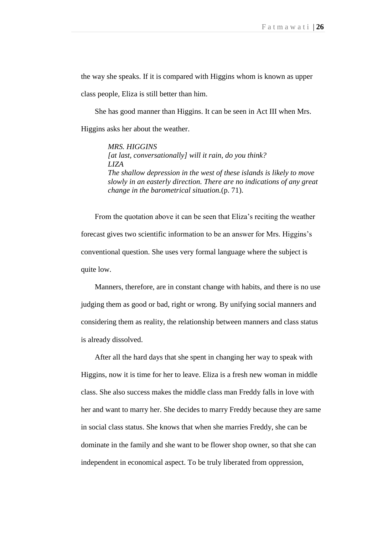the way she speaks. If it is compared with Higgins whom is known as upper

class people, Eliza is still better than him.

 She has good manner than Higgins. It can be seen in Act III when Mrs. Higgins asks her about the weather.

> *MRS. HIGGINS [at last, conversationally] will it rain, do you think? LIZA The shallow depression in the west of these islands is likely to move slowly in an easterly direction. There are no indications of any great change in the barometrical situation.*(p. 71).

 From the quotation above it can be seen that Eliza"s reciting the weather forecast gives two scientific information to be an answer for Mrs. Higgins"s conventional question. She uses very formal language where the subject is quite low.

 Manners, therefore, are in constant change with habits, and there is no use judging them as good or bad, right or wrong. By unifying social manners and considering them as reality, the relationship between manners and class status is already dissolved.

 After all the hard days that she spent in changing her way to speak with Higgins, now it is time for her to leave. Eliza is a fresh new woman in middle class. She also success makes the middle class man Freddy falls in love with her and want to marry her. She decides to marry Freddy because they are same in social class status. She knows that when she marries Freddy, she can be dominate in the family and she want to be flower shop owner, so that she can independent in economical aspect. To be truly liberated from oppression,